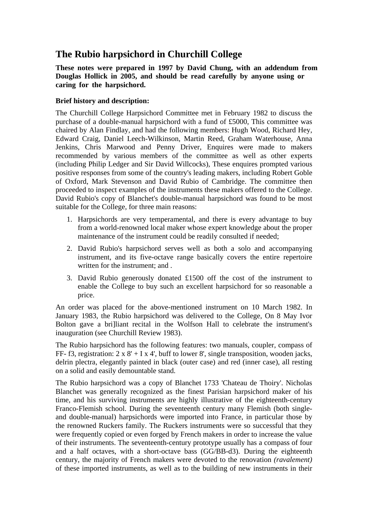# **The Rubio harpsichord in Churchill College**

## **These notes were prepared in 1997 by David Chung, with an addendum from Douglas Hollick in 2005, and should be read carefully by anyone using or caring for the harpsichord.**

## **Brief history and description:**

The Churchill College Harpsichord Committee met in February 1982 to discuss the purchase of a double-manual harpsichord with a fund of £5000, This committee was chaired by Alan Findlay, and had the following members: Hugh Wood, Richard Hey, Edward Craig, Daniel Leech-Wilkinson, Martin Reed, Graham Waterhouse, Anna Jenkins, Chris Marwood and Penny Driver, Enquires were made to makers recommended by various members of the committee as well as other experts (including Philip Ledger and Sir David Willcocks), These enquires prompted various positive responses from some of the country's leading makers, including Robert Goble of Oxford, Mark Stevenson and David Rubio of Cambridge. The committee then proceeded to inspect examples of the instruments these makers offered to the College. David Rubio's copy of Blanchet's double-manual harpsichord was found to be most suitable for the College, for three main reasons:

- 1. Harpsichords are very temperamental, and there is every advantage to buy from a world-renowned local maker whose expert knowledge about the proper maintenance of the instrument could be readily consulted if needed;
- 2. David Rubio's harpsichord serves well as both a solo and accompanying instrument, and its five-octave range basically covers the entire repertoire written for the instrument; and .
- 3. David Rubio generously donated £1500 off the cost of the instrument to enable the College to buy such an excellent harpsichord for so reasonable a price.

An order was placed for the above-mentioned instrument on 10 March 1982. In January 1983, the Rubio harpsichord was delivered to the College, On 8 May Ivor Bolton gave a bri]liant recital in the Wolfson Hall to celebrate the instrument's inauguration (see Churchill Review 1983).

The Rubio harpsichord has the following features: two manuals, coupler, compass of FF- f3, registration:  $2 \times 8' + I \times 4'$ , buff to lower 8', single transposition, wooden jacks, delrin plectra, elegantly painted in black (outer case) and red (inner case), all resting on a solid and easily demountable stand.

The Rubio harpsichord was a copy of Blanchet 1733 'Chateau de Thoiry'. Nicholas Blanchet was generally recognized as the finest Parisian harpsichord maker of his time, and his surviving instruments are highly illustrative of the eighteenth-century Franco-Flemish school. During the seventeenth century many Flemish (both singleand double-manual) harpsichords were imported into France, in particular those by the renowned Ruckers family. The Ruckers instruments were so successful that they were frequently copied or even forged by French makers in order to increase the value of their instruments. The seventeenth-century prototype usually has a compass of four and a half octaves, with a short-octave bass (GG/BB-d3). During the eighteenth century, the majority of French makers were devoted to the renovation *(ravalement)*  of these imported instruments, as well as to the building of new instruments in their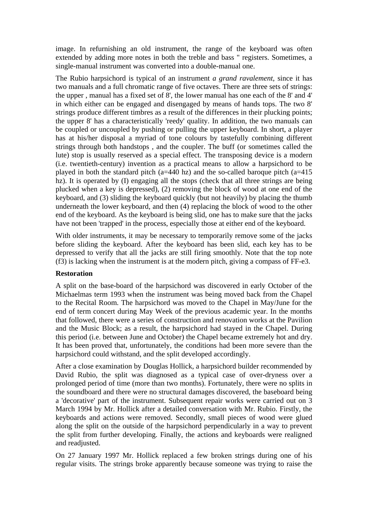image. In refurnishing an old instrument, the range of the keyboard was often extended by adding more notes in both the treble and bass " registers. Sometimes, a single-manual instrument was converted into a double-manual one.

The Rubio harpsichord is typical of an instrument *a grand ravalement,* since it has two manuals and a full chromatic range of five octaves. There are three sets of strings: the upper , manual has a fixed set of 8', the lower manual has one each of the 8' and 4' in which either can be engaged and disengaged by means of hands tops. The two 8' strings produce different timbres as a result of the differences in their plucking points; the upper 8' has a characteristically 'reedy' quality. In addition, the two manuals can be coupled or uncoupled by pushing or pulling the upper keyboard. In short, a player has at his/her disposal a myriad of tone colours by tastefully combining different strings through both handstops , and the coupler. The buff (or sometimes called the lute) stop is usually reserved as a special effect. The transposing device is a modern (i.e. twentieth-century) invention as a practical means to allow a harpsichord to be played in both the standard pitch (a=440 hz) and the so-called baroque pitch (a=415 hz). It is operated by (I) engaging all the stops (check that all three strings are being plucked when a key is depressed), (2) removing the block of wood at one end of the keyboard, and (3) sliding the keyboard quickly (but not heavily) by placing the thumb underneath the lower keyboard, and then (4) replacing the block of wood to the other end of the keyboard. As the keyboard is being slid, one has to make sure that the jacks have not been 'trapped' in the process, especially those at either end of the keyboard.

With older instruments, it may be necessary to temporarily remove some of the jacks before sliding the keyboard. After the keyboard has been slid, each key has to be depressed to verify that all the jacks are still firing smoothly. Note that the top note (f3) is lacking when the instrument is at the modern pitch, giving a compass of FF-e3.

#### **Restoration**

A split on the base-board of the harpsichord was discovered in early October of the Michaelmas term 1993 when the instrument was being moved back from the Chapel to the Recital Room. The harpsichord was moved to the Chapel in May/June for the end of term concert during May Week of the previous academic year. In the months that followed, there were a series of construction and renovation works at the Pavilion and the Music Block; as a result, the harpsichord had stayed in the Chapel. During this period (i.e. between June and October) the Chapel became extremely hot and dry. It has been proved that, unfortunately, the conditions had been more severe than the harpsichord could withstand, and the split developed accordingly.

After a close examination by Douglas Hollick, a harpsichord builder recommended by David Rubio, the split was diagnosed as a typical case of over-dryness over a prolonged period of time (more than two months). Fortunately, there were no splits in the soundboard and there were no structural damages discovered, the baseboard being a 'decorative' part of the instrument. Subsequent repair works were carried out on 3 March 1994 by Mr. Hollick after a detailed conversation with Mr. Rubio. Firstly, the keyboards and actions were removed. Secondly, small pieces of wood were glued along the split on the outside of the harpsichord perpendicularly in a way to prevent the split from further developing. Finally, the actions and keyboards were realigned and readjusted.

On 27 January 1997 Mr. Hollick replaced a few broken strings during one of his regular visits. The strings broke apparently because someone was trying to raise the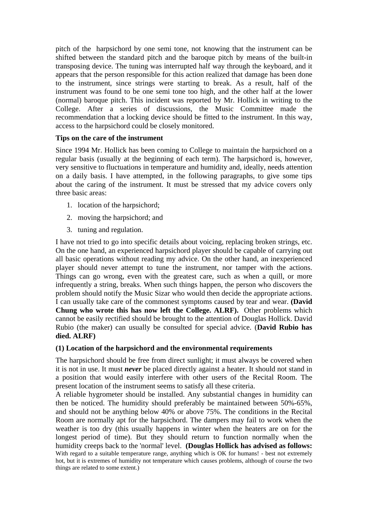pitch of the harpsichord by one semi tone, not knowing that the instrument can be shifted between the standard pitch and the baroque pitch by means of the built-in transposing device. The tuning was interrupted half way through the keyboard, and it appears that the person responsible for this action realized that damage has been done to the instrument, since strings were starting to break. As a result, half of the instrument was found to be one semi tone too high, and the other half at the lower (normal) baroque pitch. This incident was reported by Mr. Hollick in writing to the College. After a series of discussions, the Music Committee made the recommendation that a locking device should be fitted to the instrument. In this way, access to the harpsichord could be closely monitored.

### **Tips on the care of the instrument**

Since 1994 Mr. Hollick has been coming to College to maintain the harpsichord on a regular basis (usually at the beginning of each term). The harpsichord is, however, very sensitive to fluctuations in temperature and humidity and, ideally, needs attention on a daily basis. I have attempted, in the following paragraphs, to give some tips about the caring of the instrument. It must be stressed that my advice covers only three basic areas:

- 1. location of the harpsichord;
- 2. moving the harpsichord; and
- 3. tuning and regulation.

I have not tried to go into specific details about voicing, replacing broken strings, etc. On the one hand, an experienced harpsichord player should be capable of carrying out all basic operations without reading my advice. On the other hand, an inexperienced player should never attempt to tune the instrument, nor tamper with the actions. Things can go wrong, even with the greatest care, such as when a quill, or more infrequently a string, breaks. When such things happen, the person who discovers the problem should notify the Music Sizar who would then decide the appropriate actions. I can usually take care of the commonest symptoms caused by tear and wear. **(David Chung who wrote this has now left the College. ALRF).** Other problems which cannot be easily rectified should be brought to the attention of Douglas Hollick. David Rubio (the maker) can usually be consulted for special advice. (**David Rubio has died. ALRF)**

## **(1) Location of the harpsichord and the environmental requirements**

The harpsichord should be free from direct sunlight; it must always be covered when it is not in use. It must *never* be placed directly against a heater. It should not stand in a position that would easily interfere with other users of the Recital Room. The present location of the instrument seems to satisfy all these criteria.

A reliable hygrometer should be installed. Any substantial changes in humidity can then be noticed. The humidity should preferably be maintained between 50%-65%, and should not be anything below 40% or above 75%. The conditions in the Recital Room are normally apt for the harpsichord. The dampers may fail to work when the weather is too dry (this usually happens in winter when the heaters are on for the longest period of time). But they should return to function normally when the humidity creeps back to the 'normal' level. **(Douglas Hollick has advised as follows:**  With regard to a suitable temperature range, anything which is OK for humans! - best not extremely hot, but it is extremes of humidity not temperature which causes problems, although of course the two things are related to some extent.)